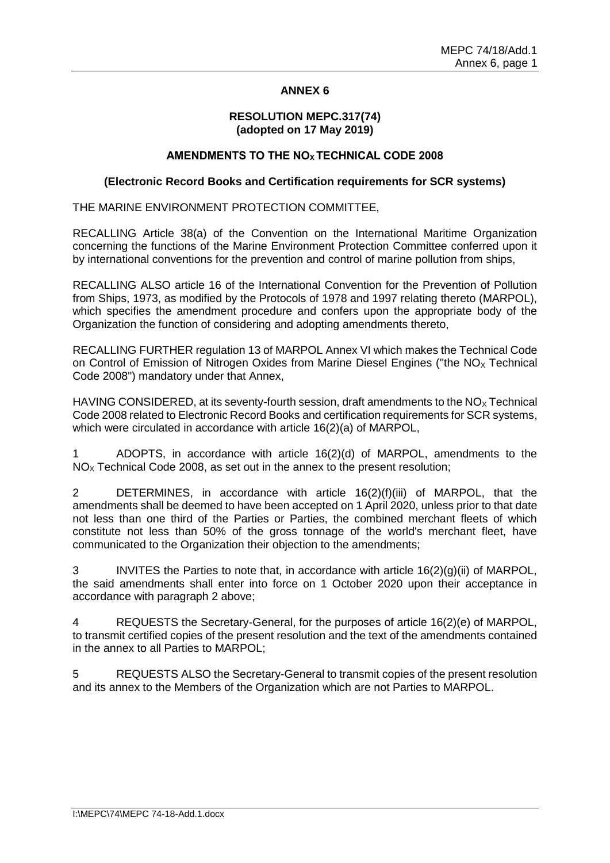# **ANNEX 6**

#### **RESOLUTION MEPC.317(74) (adopted on 17 May 2019)**

### **AMENDMENTS TO THE NO<sup>X</sup> TECHNICAL CODE 2008**

#### **(Electronic Record Books and Certification requirements for SCR systems)**

THE MARINE ENVIRONMENT PROTECTION COMMITTEE,

RECALLING Article 38(a) of the Convention on the International Maritime Organization concerning the functions of the Marine Environment Protection Committee conferred upon it by international conventions for the prevention and control of marine pollution from ships,

RECALLING ALSO article 16 of the International Convention for the Prevention of Pollution from Ships, 1973, as modified by the Protocols of 1978 and 1997 relating thereto (MARPOL), which specifies the amendment procedure and confers upon the appropriate body of the Organization the function of considering and adopting amendments thereto,

RECALLING FURTHER regulation 13 of MARPOL Annex VI which makes the Technical Code on Control of Emission of Nitrogen Oxides from Marine Diesel Engines ("the  $NO<sub>x</sub>$  Technical Code 2008") mandatory under that Annex,

HAVING CONSIDERED, at its seventy-fourth session, draft amendments to the  $NO<sub>x</sub>$  Technical Code 2008 related to Electronic Record Books and certification requirements for SCR systems, which were circulated in accordance with article 16(2)(a) of MARPOL,

1 ADOPTS, in accordance with article 16(2)(d) of MARPOL, amendments to the  $NO<sub>x</sub>$  Technical Code 2008, as set out in the annex to the present resolution;

2 DETERMINES, in accordance with article 16(2)(f)(iii) of MARPOL, that the amendments shall be deemed to have been accepted on 1 April 2020, unless prior to that date not less than one third of the Parties or Parties, the combined merchant fleets of which constitute not less than 50% of the gross tonnage of the world's merchant fleet, have communicated to the Organization their objection to the amendments;

3 INVITES the Parties to note that, in accordance with article 16(2)(g)(ii) of MARPOL, the said amendments shall enter into force on 1 October 2020 upon their acceptance in accordance with paragraph 2 above;

4 REQUESTS the Secretary-General, for the purposes of article 16(2)(e) of MARPOL, to transmit certified copies of the present resolution and the text of the amendments contained in the annex to all Parties to MARPOL;

5 REQUESTS ALSO the Secretary-General to transmit copies of the present resolution and its annex to the Members of the Organization which are not Parties to MARPOL.